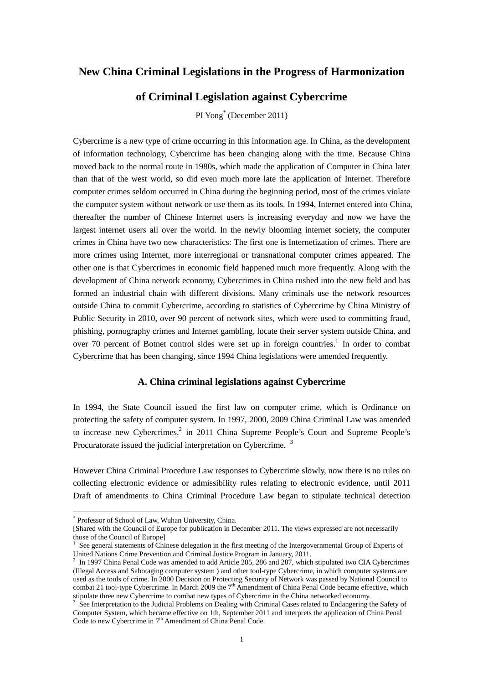## **New China Criminal Legislations in the Progress of Harmonization**

## **of Criminal Legislation against Cybercrime**

PI Yong\* (December 2011)

Cybercrime is a new type of crime occurring in this information age. In China, as the development of information technology, Cybercrime has been changing along with the time. Because China moved back to the normal route in 1980s, which made the application of Computer in China later than that of the west world, so did even much more late the application of Internet. Therefore computer crimes seldom occurred in China during the beginning period, most of the crimes violate the computer system without network or use them as its tools. In 1994, Internet entered into China, thereafter the number of Chinese Internet users is increasing everyday and now we have the largest internet users all over the world. In the newly blooming internet society, the computer crimes in China have two new characteristics: The first one is Internetization of crimes. There are more crimes using Internet, more interregional or transnational computer crimes appeared. The other one is that Cybercrimes in economic field happened much more frequently. Along with the development of China network economy, Cybercrimes in China rushed into the new field and has formed an industrial chain with different divisions. Many criminals use the network resources outside China to commit Cybercrime, according to statistics of Cybercrime by China Ministry of Public Security in 2010, over 90 percent of network sites, which were used to committing fraud, phishing, pornography crimes and Internet gambling, locate their server system outside China, and over 70 percent of Botnet control sides were set up in foreign countries.<sup>1</sup> In order to combat Cybercrime that has been changing, since 1994 China legislations were amended frequently.

### **A. China criminal legislations against Cybercrime**

In 1994, the State Council issued the first law on computer crime, which is Ordinance on protecting the safety of computer system. In 1997, 2000, 2009 China Criminal Law was amended to increase new Cybercrimes, $^2$  in 2011 China Supreme People's Court and Supreme People's Procuratorate issued the judicial interpretation on Cybercrime.<sup>3</sup>

However China Criminal Procedure Law responses to Cybercrime slowly, now there is no rules on collecting electronic evidence or admissibility rules relating to electronic evidence, until 2011 Draft of amendments to China Criminal Procedure Law began to stipulate technical detection

<sup>\*</sup> Professor of School of Law, Wuhan University, China.

<sup>[</sup>Shared with the Council of Europe for publication in December 2011. The views expressed are not necessarily those of the Council of Europe]

<sup>&</sup>lt;sup>1</sup> See general statements of Chinese delegation in the first meeting of the Intergovernmental Group of Experts of United Nations Crime Prevention and Criminal Justice Program in January, 2011.<br><sup>2</sup> In 1997 China Penal Code was amended to add Article 285, 286 and 287, which stipulated two CIA Cybercrimes

<sup>(</sup>Illegal Access and Sabotaging computer system ) and other tool-type Cybercrime, in which computer systems are used as the tools of crime. In 2000 Decision on Protecting Security of Network was passed by National Council to combat 21 tool-type Cybercrime. In March 2009 the  $7<sup>th</sup>$  Amendment of China Penal Code became effective, which stipulate three new Cybercrime to combat new types of Cybercrime in the China networked economy.<br><sup>3</sup> See Interpretation to the Judicial Problems on Dealing with Criminal Cases related to Endangering the Safety of

Computer System, which became effective on 1th, September 2011 and interprets the application of China Penal Code to new Cybercrime in 7<sup>th</sup> Amendment of China Penal Code.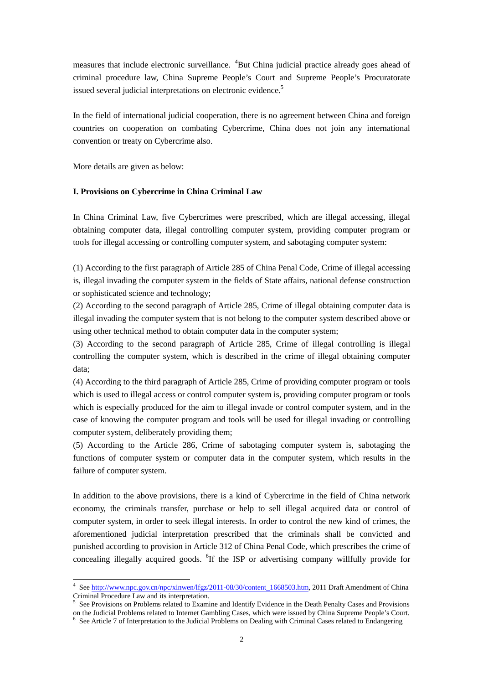measures that include electronic surveillance. <sup>4</sup>But China judicial practice already goes ahead of criminal procedure law, China Supreme People's Court and Supreme People's Procuratorate issued several judicial interpretations on electronic evidence.<sup>5</sup>

In the field of international judicial cooperation, there is no agreement between China and foreign countries on cooperation on combating Cybercrime, China does not join any international convention or treaty on Cybercrime also.

More details are given as below:

### **I. Provisions on Cybercrime in China Criminal Law**

In China Criminal Law, five Cybercrimes were prescribed, which are illegal accessing, illegal obtaining computer data, illegal controlling computer system, providing computer program or tools for illegal accessing or controlling computer system, and sabotaging computer system:

(1) According to the first paragraph of Article 285 of China Penal Code, Crime of illegal accessing is, illegal invading the computer system in the fields of State affairs, national defense construction or sophisticated science and technology;

(2) According to the second paragraph of Article 285, Crime of illegal obtaining computer data is illegal invading the computer system that is not belong to the computer system described above or using other technical method to obtain computer data in the computer system;

(3) According to the second paragraph of Article 285, Crime of illegal controlling is illegal controlling the computer system, which is described in the crime of illegal obtaining computer data;

(4) According to the third paragraph of Article 285, Crime of providing computer program or tools which is used to illegal access or control computer system is, providing computer program or tools which is especially produced for the aim to illegal invade or control computer system, and in the case of knowing the computer program and tools will be used for illegal invading or controlling computer system, deliberately providing them;

(5) According to the Article 286, Crime of sabotaging computer system is, sabotaging the functions of computer system or computer data in the computer system, which results in the failure of computer system.

In addition to the above provisions, there is a kind of Cybercrime in the field of China network economy, the criminals transfer, purchase or help to sell illegal acquired data or control of computer system, in order to seek illegal interests. In order to control the new kind of crimes, the aforementioned judicial interpretation prescribed that the criminals shall be convicted and punished according to provision in Article 312 of China Penal Code, which prescribes the crime of concealing illegally acquired goods. <sup>6</sup>If the ISP or advertising company willfully provide for

<sup>&</sup>lt;sup>4</sup> See http://www.npc.gov.cn/npc/xinwen/lfgz/2011-08/30/content\_1668503.htm, 2011 Draft Amendment of China Criminal Procedure Law and its interpretation. 5 See Provisions on Problems related to Examine and Identify Evidence in the Death Penalty Cases and Provisions

on the Judicial Problems related to Internet Gambling Cases, which were issued by China Supreme People's Court. <sup>6</sup> See Article 7 of Interpretation to the Judicial Problems on Dealing with Criminal Cases related to Endangering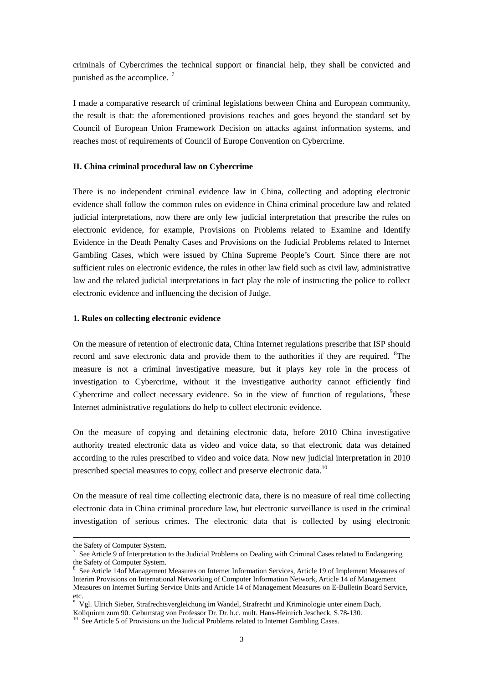criminals of Cybercrimes the technical support or financial help, they shall be convicted and punished as the accomplice.  $7$ 

I made a comparative research of criminal legislations between China and European community, the result is that: the aforementioned provisions reaches and goes beyond the standard set by Council of European Union Framework Decision on attacks against information systems, and reaches most of requirements of Council of Europe Convention on Cybercrime.

#### **II. China criminal procedural law on Cybercrime**

There is no independent criminal evidence law in China, collecting and adopting electronic evidence shall follow the common rules on evidence in China criminal procedure law and related judicial interpretations, now there are only few judicial interpretation that prescribe the rules on electronic evidence, for example, Provisions on Problems related to Examine and Identify Evidence in the Death Penalty Cases and Provisions on the Judicial Problems related to Internet Gambling Cases, which were issued by China Supreme People's Court. Since there are not sufficient rules on electronic evidence, the rules in other law field such as civil law, administrative law and the related judicial interpretations in fact play the role of instructing the police to collect electronic evidence and influencing the decision of Judge.

#### **1. Rules on collecting electronic evidence**

On the measure of retention of electronic data, China Internet regulations prescribe that ISP should record and save electronic data and provide them to the authorities if they are required. <sup>8</sup>The measure is not a criminal investigative measure, but it plays key role in the process of investigation to Cybercrime, without it the investigative authority cannot efficiently find Cybercrime and collect necessary evidence. So in the view of function of regulations,  $9$ <sup>4</sup>these Internet administrative regulations do help to collect electronic evidence.

On the measure of copying and detaining electronic data, before 2010 China investigative authority treated electronic data as video and voice data, so that electronic data was detained according to the rules prescribed to video and voice data. Now new judicial interpretation in 2010 prescribed special measures to copy, collect and preserve electronic data.<sup>10</sup>

On the measure of real time collecting electronic data, there is no measure of real time collecting electronic data in China criminal procedure law, but electronic surveillance is used in the criminal investigation of serious crimes. The electronic data that is collected by using electronic

the Safety of Computer System.

<sup>&</sup>lt;sup>7</sup> See Article 9 of Interpretation to the Judicial Problems on Dealing with Criminal Cases related to Endangering the Safety of Computer System.

<sup>8</sup> See Article 14of Management Measures on Internet Information Services, Article 19 of Implement Measures of Interim Provisions on International Networking of Computer Information Network, Article 14 of Management Measures on Internet Surfing Service Units and Article 14 of Management Measures on E-Bulletin Board Service, etc.<br><sup>9</sup> Vgl. Ulrich Sieber, Strafrechtsvergleichung im Wandel, Strafrecht und Kriminologie unter einem Dach,

Kollquium zum 90. Geburtstag von Professor Dr. Dr. h.c. mult. Hans-Heinrich Jescheck, S.78-130.

 $10$  See Article 5 of Provisions on the Judicial Problems related to Internet Gambling Cases.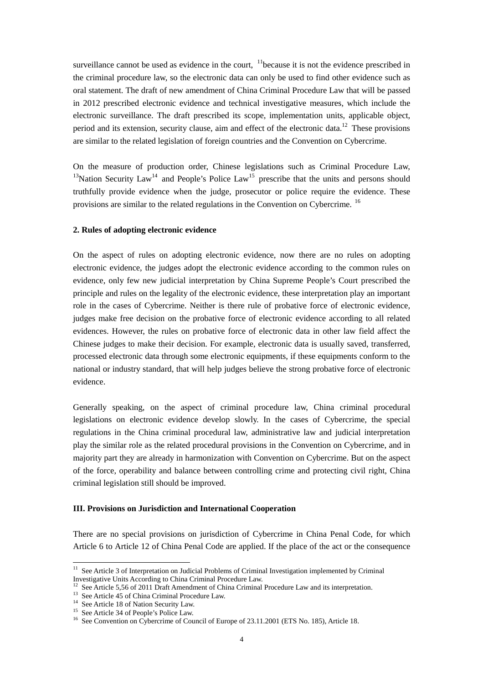surveillance cannot be used as evidence in the court,  $\frac{11}{10}$  because it is not the evidence prescribed in the criminal procedure law, so the electronic data can only be used to find other evidence such as oral statement. The draft of new amendment of China Criminal Procedure Law that will be passed in 2012 prescribed electronic evidence and technical investigative measures, which include the electronic surveillance. The draft prescribed its scope, implementation units, applicable object, period and its extension, security clause, aim and effect of the electronic data.<sup>12</sup> These provisions are similar to the related legislation of foreign countries and the Convention on Cybercrime.

On the measure of production order, Chinese legislations such as Criminal Procedure Law, <sup>13</sup>Nation Security Law<sup>14</sup> and People's Police Law<sup>15</sup> prescribe that the units and persons should truthfully provide evidence when the judge, prosecutor or police require the evidence. These provisions are similar to the related regulations in the Convention on Cybercrime.<sup>16</sup>

#### **2. Rules of adopting electronic evidence**

On the aspect of rules on adopting electronic evidence, now there are no rules on adopting electronic evidence, the judges adopt the electronic evidence according to the common rules on evidence, only few new judicial interpretation by China Supreme People's Court prescribed the principle and rules on the legality of the electronic evidence, these interpretation play an important role in the cases of Cybercrime. Neither is there rule of probative force of electronic evidence, judges make free decision on the probative force of electronic evidence according to all related evidences. However, the rules on probative force of electronic data in other law field affect the Chinese judges to make their decision. For example, electronic data is usually saved, transferred, processed electronic data through some electronic equipments, if these equipments conform to the national or industry standard, that will help judges believe the strong probative force of electronic evidence.

Generally speaking, on the aspect of criminal procedure law, China criminal procedural legislations on electronic evidence develop slowly. In the cases of Cybercrime, the special regulations in the China criminal procedural law, administrative law and judicial interpretation play the similar role as the related procedural provisions in the Convention on Cybercrime, and in majority part they are already in harmonization with Convention on Cybercrime. But on the aspect of the force, operability and balance between controlling crime and protecting civil right, China criminal legislation still should be improved.

### **III. Provisions on Jurisdiction and International Cooperation**

There are no special provisions on jurisdiction of Cybercrime in China Penal Code, for which Article 6 to Article 12 of China Penal Code are applied. If the place of the act or the consequence

<sup>&</sup>lt;sup>11</sup> See Article 3 of Interpretation on Judicial Problems of Criminal Investigation implemented by Criminal Investigative Units According to China Criminal Procedure Law.

<sup>&</sup>lt;sup>12</sup> See Article 5,56 of 2011 Draft Amendment of China Criminal Procedure Law and its interpretation.

<sup>13</sup> See Article 45 of China Criminal Procedure Law.

<sup>&</sup>lt;sup>14</sup> See Article 18 of Nation Security Law.

<sup>15</sup> See Article 34 of People's Police Law.

<sup>&</sup>lt;sup>16</sup> See Convention on Cybercrime of Council of Europe of 23.11.2001 (ETS No. 185), Article 18.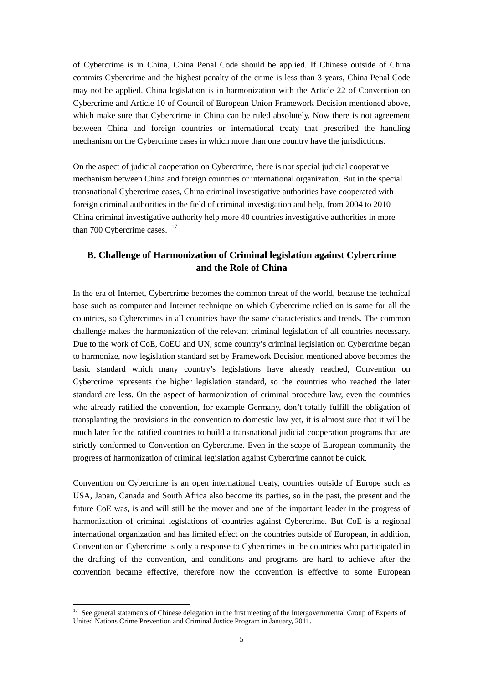of Cybercrime is in China, China Penal Code should be applied. If Chinese outside of China commits Cybercrime and the highest penalty of the crime is less than 3 years, China Penal Code may not be applied. China legislation is in harmonization with the Article 22 of Convention on Cybercrime and Article 10 of Council of European Union Framework Decision mentioned above, which make sure that Cybercrime in China can be ruled absolutely. Now there is not agreement between China and foreign countries or international treaty that prescribed the handling mechanism on the Cybercrime cases in which more than one country have the jurisdictions.

On the aspect of judicial cooperation on Cybercrime, there is not special judicial cooperative mechanism between China and foreign countries or international organization. But in the special transnational Cybercrime cases, China criminal investigative authorities have cooperated with foreign criminal authorities in the field of criminal investigation and help, from 2004 to 2010 China criminal investigative authority help more 40 countries investigative authorities in more than 700 Cybercrime cases.  $17$ 

# **B. Challenge of Harmonization of Criminal legislation against Cybercrime and the Role of China**

In the era of Internet, Cybercrime becomes the common threat of the world, because the technical base such as computer and Internet technique on which Cybercrime relied on is same for all the countries, so Cybercrimes in all countries have the same characteristics and trends. The common challenge makes the harmonization of the relevant criminal legislation of all countries necessary. Due to the work of CoE, CoEU and UN, some country's criminal legislation on Cybercrime began to harmonize, now legislation standard set by Framework Decision mentioned above becomes the basic standard which many country's legislations have already reached, Convention on Cybercrime represents the higher legislation standard, so the countries who reached the later standard are less. On the aspect of harmonization of criminal procedure law, even the countries who already ratified the convention, for example Germany, don't totally fulfill the obligation of transplanting the provisions in the convention to domestic law yet, it is almost sure that it will be much later for the ratified countries to build a transnational judicial cooperation programs that are strictly conformed to Convention on Cybercrime. Even in the scope of European community the progress of harmonization of criminal legislation against Cybercrime cannot be quick.

Convention on Cybercrime is an open international treaty, countries outside of Europe such as USA, Japan, Canada and South Africa also become its parties, so in the past, the present and the future CoE was, is and will still be the mover and one of the important leader in the progress of harmonization of criminal legislations of countries against Cybercrime. But CoE is a regional international organization and has limited effect on the countries outside of European, in addition, Convention on Cybercrime is only a response to Cybercrimes in the countries who participated in the drafting of the convention, and conditions and programs are hard to achieve after the convention became effective, therefore now the convention is effective to some European

 $17$  See general statements of Chinese delegation in the first meeting of the Intergovernmental Group of Experts of United Nations Crime Prevention and Criminal Justice Program in January, 2011.